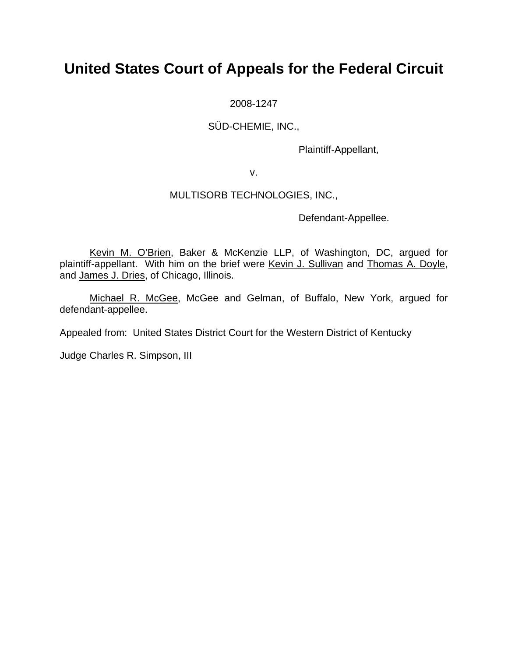# **United States Court of Appeals for the Federal Circuit**

2008-1247

SÜD-CHEMIE, INC.,

Plaintiff-Appellant,

v.

## MULTISORB TECHNOLOGIES, INC.,

Defendant-Appellee.

Kevin M. O'Brien, Baker & McKenzie LLP, of Washington, DC, argued for plaintiff-appellant. With him on the brief were Kevin J. Sullivan and Thomas A. Doyle, and James J. Dries, of Chicago, Illinois.

Michael R. McGee, McGee and Gelman, of Buffalo, New York, argued for defendant-appellee.

Appealed from: United States District Court for the Western District of Kentucky

Judge Charles R. Simpson, III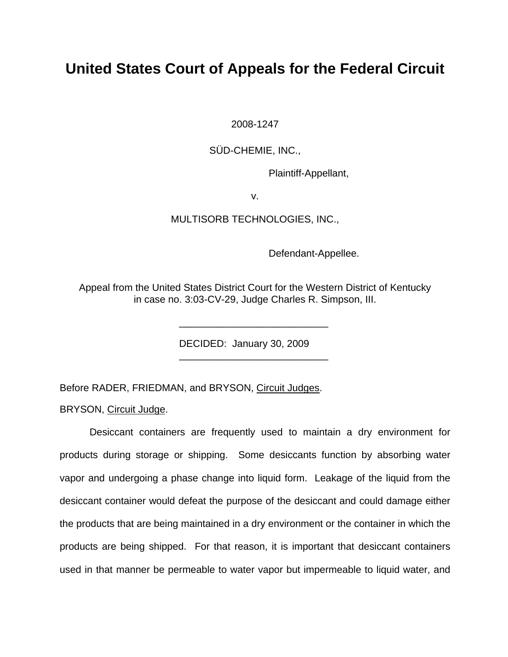# **United States Court of Appeals for the Federal Circuit**

2008-1247

SÜD-CHEMIE, INC.,

Plaintiff-Appellant,

v.

### MULTISORB TECHNOLOGIES, INC.,

Defendant-Appellee.

Appeal from the United States District Court for the Western District of Kentucky in case no. 3:03-CV-29, Judge Charles R. Simpson, III.

\_\_\_\_\_\_\_\_\_\_\_\_\_\_\_\_\_\_\_\_\_\_\_\_\_\_\_

\_\_\_\_\_\_\_\_\_\_\_\_\_\_\_\_\_\_\_\_\_\_\_\_\_\_\_

DECIDED: January 30, 2009

Before RADER, FRIEDMAN, and BRYSON, Circuit Judges.

BRYSON, Circuit Judge.

Desiccant containers are frequently used to maintain a dry environment for products during storage or shipping. Some desiccants function by absorbing water vapor and undergoing a phase change into liquid form. Leakage of the liquid from the desiccant container would defeat the purpose of the desiccant and could damage either the products that are being maintained in a dry environment or the container in which the products are being shipped. For that reason, it is important that desiccant containers used in that manner be permeable to water vapor but impermeable to liquid water, and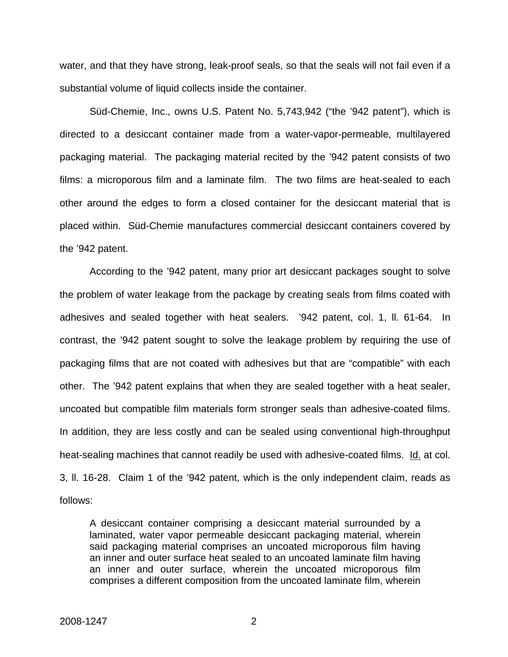water, and that they have strong, leak-proof seals, so that the seals will not fail even if a substantial volume of liquid collects inside the container.

Süd-Chemie, Inc., owns U.S. Patent No. 5,743,942 ("the '942 patent"), which is directed to a desiccant container made from a water-vapor-permeable, multilayered packaging material. The packaging material recited by the '942 patent consists of two films: a microporous film and a laminate film. The two films are heat-sealed to each other around the edges to form a closed container for the desiccant material that is placed within. Süd-Chemie manufactures commercial desiccant containers covered by the '942 patent.

According to the '942 patent, many prior art desiccant packages sought to solve the problem of water leakage from the package by creating seals from films coated with adhesives and sealed together with heat sealers. '942 patent, col. 1, ll. 61-64. In contrast, the '942 patent sought to solve the leakage problem by requiring the use of packaging films that are not coated with adhesives but that are "compatible" with each other. The '942 patent explains that when they are sealed together with a heat sealer, uncoated but compatible film materials form stronger seals than adhesive-coated films. In addition, they are less costly and can be sealed using conventional high-throughput heat-sealing machines that cannot readily be used with adhesive-coated films. Id. at col. 3, ll. 16-28. Claim 1 of the '942 patent, which is the only independent claim, reads as follows:

A desiccant container comprising a desiccant material surrounded by a laminated, water vapor permeable desiccant packaging material, wherein said packaging material comprises an uncoated microporous film having an inner and outer surface heat sealed to an uncoated laminate film having an inner and outer surface, wherein the uncoated microporous film comprises a different composition from the uncoated laminate film, wherein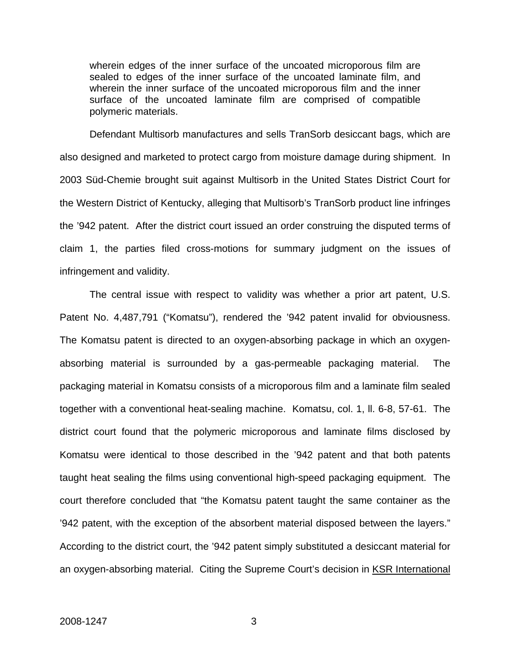wherein edges of the inner surface of the uncoated microporous film are sealed to edges of the inner surface of the uncoated laminate film, and wherein the inner surface of the uncoated microporous film and the inner surface of the uncoated laminate film are comprised of compatible polymeric materials.

Defendant Multisorb manufactures and sells TranSorb desiccant bags, which are also designed and marketed to protect cargo from moisture damage during shipment. In 2003 Süd-Chemie brought suit against Multisorb in the United States District Court for the Western District of Kentucky, alleging that Multisorb's TranSorb product line infringes the '942 patent. After the district court issued an order construing the disputed terms of claim 1, the parties filed cross-motions for summary judgment on the issues of infringement and validity.

The central issue with respect to validity was whether a prior art patent, U.S. Patent No. 4,487,791 ("Komatsu"), rendered the '942 patent invalid for obviousness. The Komatsu patent is directed to an oxygen-absorbing package in which an oxygenabsorbing material is surrounded by a gas-permeable packaging material. The packaging material in Komatsu consists of a microporous film and a laminate film sealed together with a conventional heat-sealing machine. Komatsu, col. 1, ll. 6-8, 57-61. The district court found that the polymeric microporous and laminate films disclosed by Komatsu were identical to those described in the '942 patent and that both patents taught heat sealing the films using conventional high-speed packaging equipment. The court therefore concluded that "the Komatsu patent taught the same container as the '942 patent, with the exception of the absorbent material disposed between the layers." According to the district court, the '942 patent simply substituted a desiccant material for an oxygen-absorbing material. Citing the Supreme Court's decision in KSR International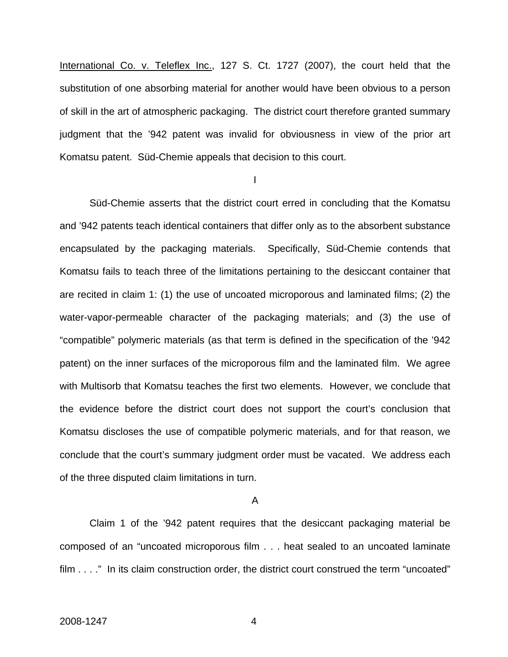International Co. v. Teleflex Inc., 127 S. Ct. 1727 (2007), the court held that the substitution of one absorbing material for another would have been obvious to a person of skill in the art of atmospheric packaging. The district court therefore granted summary judgment that the '942 patent was invalid for obviousness in view of the prior art Komatsu patent. Süd-Chemie appeals that decision to this court.

I

 Süd-Chemie asserts that the district court erred in concluding that the Komatsu and '942 patents teach identical containers that differ only as to the absorbent substance encapsulated by the packaging materials. Specifically, Süd-Chemie contends that Komatsu fails to teach three of the limitations pertaining to the desiccant container that are recited in claim 1: (1) the use of uncoated microporous and laminated films; (2) the water-vapor-permeable character of the packaging materials; and (3) the use of "compatible" polymeric materials (as that term is defined in the specification of the '942 patent) on the inner surfaces of the microporous film and the laminated film. We agree with Multisorb that Komatsu teaches the first two elements. However, we conclude that the evidence before the district court does not support the court's conclusion that Komatsu discloses the use of compatible polymeric materials, and for that reason, we conclude that the court's summary judgment order must be vacated. We address each of the three disputed claim limitations in turn.

### A

Claim 1 of the '942 patent requires that the desiccant packaging material be composed of an "uncoated microporous film . . . heat sealed to an uncoated laminate film . . . ." In its claim construction order, the district court construed the term "uncoated"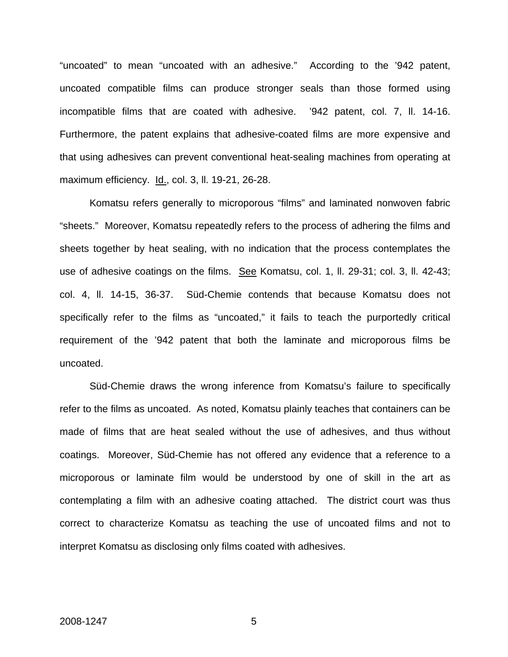"uncoated" to mean "uncoated with an adhesive." According to the '942 patent, uncoated compatible films can produce stronger seals than those formed using incompatible films that are coated with adhesive. '942 patent, col. 7, ll. 14-16. Furthermore, the patent explains that adhesive-coated films are more expensive and that using adhesives can prevent conventional heat-sealing machines from operating at maximum efficiency. Id., col. 3, ll. 19-21, 26-28.

Komatsu refers generally to microporous "films" and laminated nonwoven fabric "sheets." Moreover, Komatsu repeatedly refers to the process of adhering the films and sheets together by heat sealing, with no indication that the process contemplates the use of adhesive coatings on the films. See Komatsu, col. 1, II. 29-31; col. 3, II. 42-43; col. 4, ll. 14-15, 36-37. Süd-Chemie contends that because Komatsu does not specifically refer to the films as "uncoated," it fails to teach the purportedly critical requirement of the '942 patent that both the laminate and microporous films be uncoated.

Süd-Chemie draws the wrong inference from Komatsu's failure to specifically refer to the films as uncoated. As noted, Komatsu plainly teaches that containers can be made of films that are heat sealed without the use of adhesives, and thus without coatings. Moreover, Süd-Chemie has not offered any evidence that a reference to a microporous or laminate film would be understood by one of skill in the art as contemplating a film with an adhesive coating attached. The district court was thus correct to characterize Komatsu as teaching the use of uncoated films and not to interpret Komatsu as disclosing only films coated with adhesives.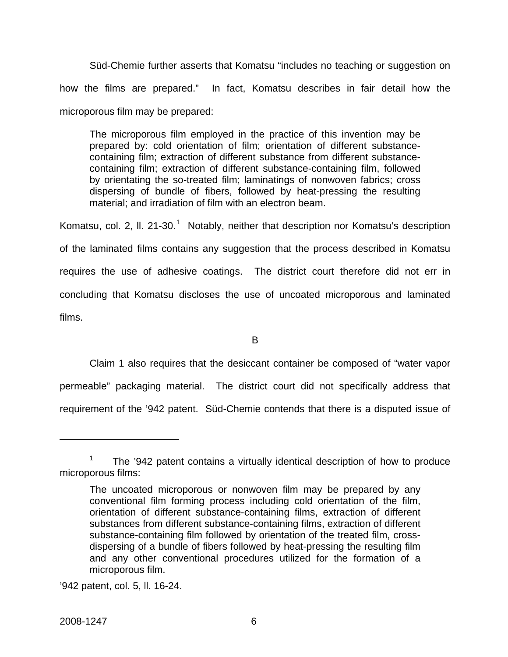Süd-Chemie further asserts that Komatsu "includes no teaching or suggestion on how the films are prepared." In fact, Komatsu describes in fair detail how the microporous film may be prepared:

The microporous film employed in the practice of this invention may be prepared by: cold orientation of film; orientation of different substancecontaining film; extraction of different substance from different substancecontaining film; extraction of different substance-containing film, followed by orientating the so-treated film; laminatings of nonwoven fabrics; cross dispersing of bundle of fibers, followed by heat-pressing the resulting material; and irradiation of film with an electron beam.

Komatsu, col. 2, II. 2[1](#page-6-0)-30.<sup>1</sup> Notably, neither that description nor Komatsu's description of the laminated films contains any suggestion that the process described in Komatsu requires the use of adhesive coatings. The district court therefore did not err in concluding that Komatsu discloses the use of uncoated microporous and laminated films.

B

 Claim 1 also requires that the desiccant container be composed of "water vapor permeable" packaging material. The district court did not specifically address that requirement of the '942 patent. Süd-Chemie contends that there is a disputed issue of

<span id="page-6-0"></span><sup>1</sup> The '942 patent contains a virtually identical description of how to produce microporous films:

The uncoated microporous or nonwoven film may be prepared by any conventional film forming process including cold orientation of the film, orientation of different substance-containing films, extraction of different substances from different substance-containing films, extraction of different substance-containing film followed by orientation of the treated film, crossdispersing of a bundle of fibers followed by heat-pressing the resulting film and any other conventional procedures utilized for the formation of a microporous film.

<sup>&#</sup>x27;942 patent, col. 5, ll. 16-24.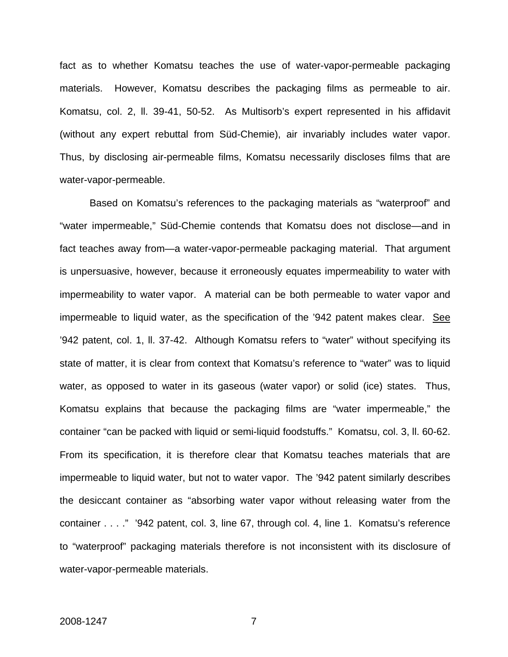fact as to whether Komatsu teaches the use of water-vapor-permeable packaging materials. However, Komatsu describes the packaging films as permeable to air. Komatsu, col. 2, ll. 39-41, 50-52. As Multisorb's expert represented in his affidavit (without any expert rebuttal from Süd-Chemie), air invariably includes water vapor. Thus, by disclosing air-permeable films, Komatsu necessarily discloses films that are water-vapor-permeable.

Based on Komatsu's references to the packaging materials as "waterproof" and "water impermeable," Süd-Chemie contends that Komatsu does not disclose—and in fact teaches away from—a water-vapor-permeable packaging material. That argument is unpersuasive, however, because it erroneously equates impermeability to water with impermeability to water vapor. A material can be both permeable to water vapor and impermeable to liquid water, as the specification of the '942 patent makes clear. See '942 patent, col. 1, ll. 37-42. Although Komatsu refers to "water" without specifying its state of matter, it is clear from context that Komatsu's reference to "water" was to liquid water, as opposed to water in its gaseous (water vapor) or solid (ice) states. Thus, Komatsu explains that because the packaging films are "water impermeable," the container "can be packed with liquid or semi-liquid foodstuffs." Komatsu, col. 3, ll. 60-62. From its specification, it is therefore clear that Komatsu teaches materials that are impermeable to liquid water, but not to water vapor. The '942 patent similarly describes the desiccant container as "absorbing water vapor without releasing water from the container . . . ." '942 patent, col. 3, line 67, through col. 4, line 1. Komatsu's reference to "waterproof" packaging materials therefore is not inconsistent with its disclosure of water-vapor-permeable materials.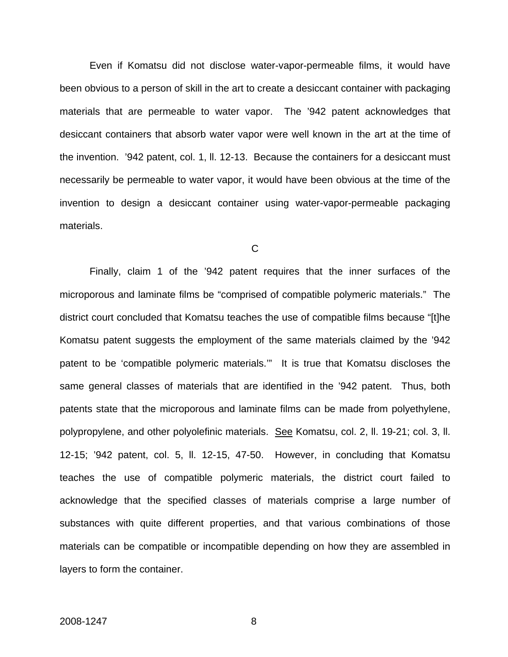Even if Komatsu did not disclose water-vapor-permeable films, it would have been obvious to a person of skill in the art to create a desiccant container with packaging materials that are permeable to water vapor. The '942 patent acknowledges that desiccant containers that absorb water vapor were well known in the art at the time of the invention. '942 patent, col. 1, ll. 12-13. Because the containers for a desiccant must necessarily be permeable to water vapor, it would have been obvious at the time of the invention to design a desiccant container using water-vapor-permeable packaging materials.

C

 Finally, claim 1 of the '942 patent requires that the inner surfaces of the microporous and laminate films be "comprised of compatible polymeric materials." The district court concluded that Komatsu teaches the use of compatible films because "[t]he Komatsu patent suggests the employment of the same materials claimed by the '942 patent to be 'compatible polymeric materials.'"It is true that Komatsu discloses the same general classes of materials that are identified in the '942 patent. Thus, both patents state that the microporous and laminate films can be made from polyethylene, polypropylene, and other polyolefinic materials. See Komatsu, col. 2, ll. 19-21; col. 3, ll. 12-15; '942 patent, col. 5, ll. 12-15, 47-50. However, in concluding that Komatsu teaches the use of compatible polymeric materials, the district court failed to acknowledge that the specified classes of materials comprise a large number of substances with quite different properties, and that various combinations of those materials can be compatible or incompatible depending on how they are assembled in layers to form the container.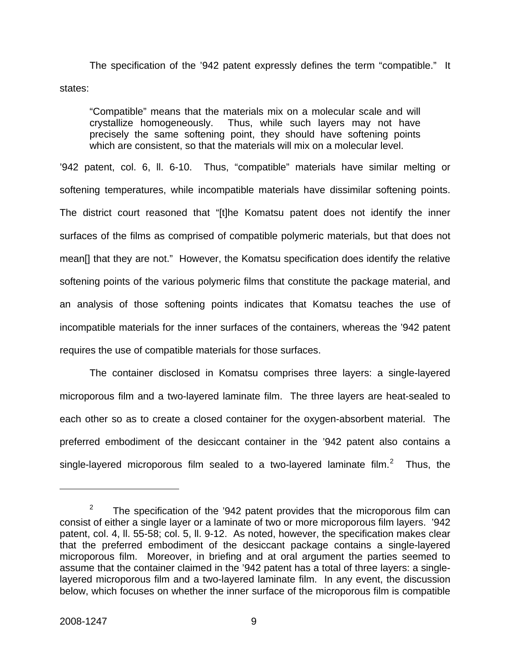The specification of the '942 patent expressly defines the term "compatible." It states:

"Compatible" means that the materials mix on a molecular scale and will crystallize homogeneously. Thus, while such layers may not have precisely the same softening point, they should have softening points which are consistent, so that the materials will mix on a molecular level.

'942 patent, col. 6, ll. 6-10. Thus, "compatible" materials have similar melting or softening temperatures, while incompatible materials have dissimilar softening points. The district court reasoned that "[t]he Komatsu patent does not identify the inner surfaces of the films as comprised of compatible polymeric materials, but that does not mean[] that they are not." However, the Komatsu specification does identify the relative softening points of the various polymeric films that constitute the package material, and an analysis of those softening points indicates that Komatsu teaches the use of incompatible materials for the inner surfaces of the containers, whereas the '942 patent requires the use of compatible materials for those surfaces.

The container disclosed in Komatsu comprises three layers: a single-layered microporous film and a two-layered laminate film. The three layers are heat-sealed to each other so as to create a closed container for the oxygen-absorbent material. The preferred embodiment of the desiccant container in the '942 patent also contains a single-layered microporous film sealed to a two-layered laminate film.<sup>[2](#page-9-0)</sup> Thus, the

<span id="page-9-0"></span><sup>2</sup> The specification of the '942 patent provides that the microporous film can consist of either a single layer or a laminate of two or more microporous film layers. '942 patent, col. 4, ll. 55-58; col. 5, ll. 9-12. As noted, however, the specification makes clear that the preferred embodiment of the desiccant package contains a single-layered microporous film. Moreover, in briefing and at oral argument the parties seemed to assume that the container claimed in the '942 patent has a total of three layers: a singlelayered microporous film and a two-layered laminate film. In any event, the discussion below, which focuses on whether the inner surface of the microporous film is compatible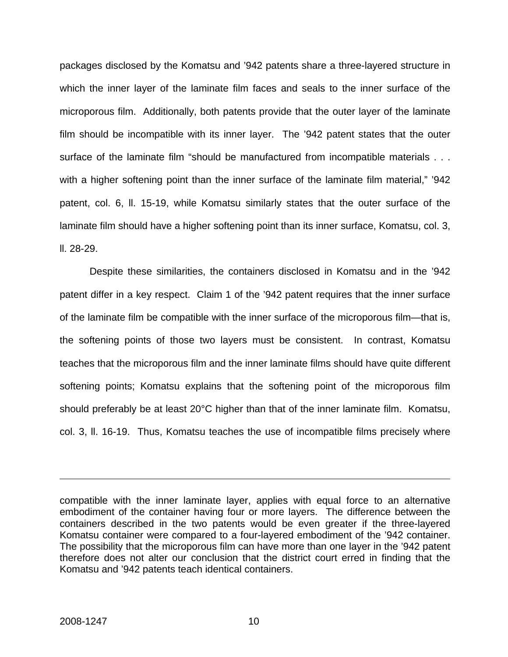packages disclosed by the Komatsu and '942 patents share a three-layered structure in which the inner layer of the laminate film faces and seals to the inner surface of the microporous film. Additionally, both patents provide that the outer layer of the laminate film should be incompatible with its inner layer. The '942 patent states that the outer surface of the laminate film "should be manufactured from incompatible materials . . . with a higher softening point than the inner surface of the laminate film material," '942 patent, col. 6, ll. 15-19, while Komatsu similarly states that the outer surface of the laminate film should have a higher softening point than its inner surface, Komatsu, col. 3, ll. 28-29.

Despite these similarities, the containers disclosed in Komatsu and in the '942 patent differ in a key respect. Claim 1 of the '942 patent requires that the inner surface of the laminate film be compatible with the inner surface of the microporous film—that is, the softening points of those two layers must be consistent. In contrast, Komatsu teaches that the microporous film and the inner laminate films should have quite different softening points; Komatsu explains that the softening point of the microporous film should preferably be at least 20°C higher than that of the inner laminate film. Komatsu, col. 3, ll. 16-19. Thus, Komatsu teaches the use of incompatible films precisely where

compatible with the inner laminate layer, applies with equal force to an alternative embodiment of the container having four or more layers. The difference between the containers described in the two patents would be even greater if the three-layered Komatsu container were compared to a four-layered embodiment of the '942 container. The possibility that the microporous film can have more than one layer in the '942 patent therefore does not alter our conclusion that the district court erred in finding that the Komatsu and '942 patents teach identical containers.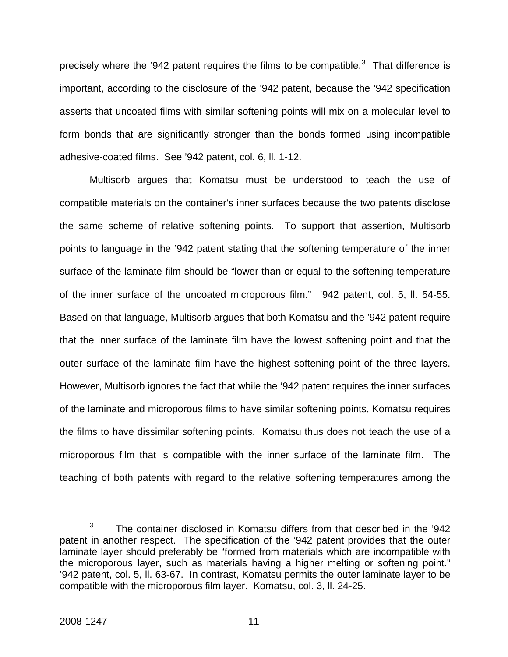precisely where the '942 patent requires the films to be compatible.<sup>[3](#page-11-0)</sup> That difference is important, according to the disclosure of the '942 patent, because the '942 specification asserts that uncoated films with similar softening points will mix on a molecular level to form bonds that are significantly stronger than the bonds formed using incompatible adhesive-coated films. See '942 patent, col. 6, ll. 1-12.

Multisorb argues that Komatsu must be understood to teach the use of compatible materials on the container's inner surfaces because the two patents disclose the same scheme of relative softening points. To support that assertion, Multisorb points to language in the '942 patent stating that the softening temperature of the inner surface of the laminate film should be "lower than or equal to the softening temperature of the inner surface of the uncoated microporous film." '942 patent, col. 5, ll. 54-55. Based on that language, Multisorb argues that both Komatsu and the '942 patent require that the inner surface of the laminate film have the lowest softening point and that the outer surface of the laminate film have the highest softening point of the three layers. However, Multisorb ignores the fact that while the '942 patent requires the inner surfaces of the laminate and microporous films to have similar softening points, Komatsu requires the films to have dissimilar softening points. Komatsu thus does not teach the use of a microporous film that is compatible with the inner surface of the laminate film. The teaching of both patents with regard to the relative softening temperatures among the

<span id="page-11-0"></span><sup>3</sup> The container disclosed in Komatsu differs from that described in the '942 patent in another respect. The specification of the '942 patent provides that the outer laminate layer should preferably be "formed from materials which are incompatible with the microporous layer, such as materials having a higher melting or softening point." '942 patent, col. 5, ll. 63-67. In contrast, Komatsu permits the outer laminate layer to be compatible with the microporous film layer. Komatsu, col. 3, ll. 24-25.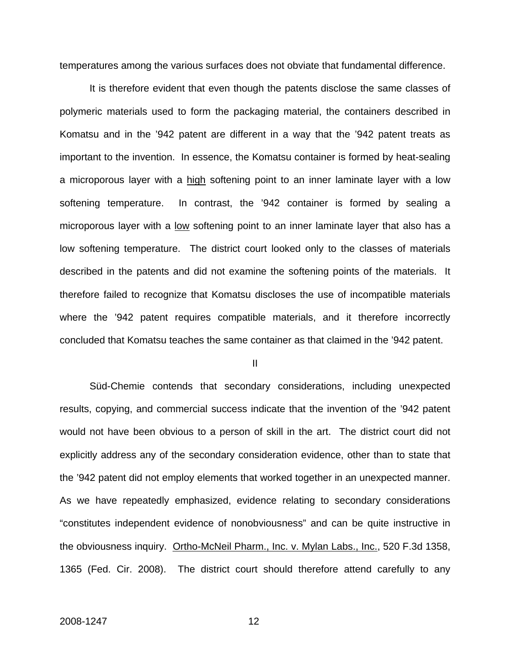temperatures among the various surfaces does not obviate that fundamental difference.

It is therefore evident that even though the patents disclose the same classes of polymeric materials used to form the packaging material, the containers described in Komatsu and in the '942 patent are different in a way that the '942 patent treats as important to the invention. In essence, the Komatsu container is formed by heat-sealing a microporous layer with a high softening point to an inner laminate layer with a low softening temperature. In contrast, the '942 container is formed by sealing a microporous layer with a low softening point to an inner laminate layer that also has a low softening temperature. The district court looked only to the classes of materials described in the patents and did not examine the softening points of the materials. It therefore failed to recognize that Komatsu discloses the use of incompatible materials where the '942 patent requires compatible materials, and it therefore incorrectly concluded that Komatsu teaches the same container as that claimed in the '942 patent.

II

Süd-Chemie contends that secondary considerations, including unexpected results, copying, and commercial success indicate that the invention of the '942 patent would not have been obvious to a person of skill in the art. The district court did not explicitly address any of the secondary consideration evidence, other than to state that the '942 patent did not employ elements that worked together in an unexpected manner. As we have repeatedly emphasized, evidence relating to secondary considerations "constitutes independent evidence of nonobviousness" and can be quite instructive in the obviousness inquiry. Ortho-McNeil Pharm., Inc. v. Mylan Labs., Inc., 520 F.3d 1358, 1365 (Fed. Cir. 2008). The district court should therefore attend carefully to any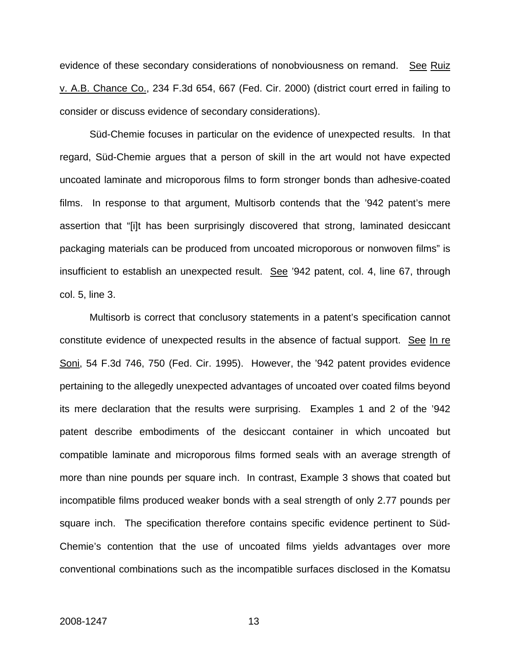evidence of these secondary considerations of nonobviousness on remand. See Ruiz v. A.B. Chance Co., 234 F.3d 654, 667 (Fed. Cir. 2000) (district court erred in failing to consider or discuss evidence of secondary considerations).

Süd-Chemie focuses in particular on the evidence of unexpected results. In that regard, Süd-Chemie argues that a person of skill in the art would not have expected uncoated laminate and microporous films to form stronger bonds than adhesive-coated films. In response to that argument, Multisorb contends that the '942 patent's mere assertion that "[i]t has been surprisingly discovered that strong, laminated desiccant packaging materials can be produced from uncoated microporous or nonwoven films" is insufficient to establish an unexpected result. See '942 patent, col. 4, line 67, through col. 5, line 3.

Multisorb is correct that conclusory statements in a patent's specification cannot constitute evidence of unexpected results in the absence of factual support. See In re Soni, 54 F.3d 746, 750 (Fed. Cir. 1995). However, the '942 patent provides evidence pertaining to the allegedly unexpected advantages of uncoated over coated films beyond its mere declaration that the results were surprising. Examples 1 and 2 of the '942 patent describe embodiments of the desiccant container in which uncoated but compatible laminate and microporous films formed seals with an average strength of more than nine pounds per square inch. In contrast, Example 3 shows that coated but incompatible films produced weaker bonds with a seal strength of only 2.77 pounds per square inch. The specification therefore contains specific evidence pertinent to Süd-Chemie's contention that the use of uncoated films yields advantages over more conventional combinations such as the incompatible surfaces disclosed in the Komatsu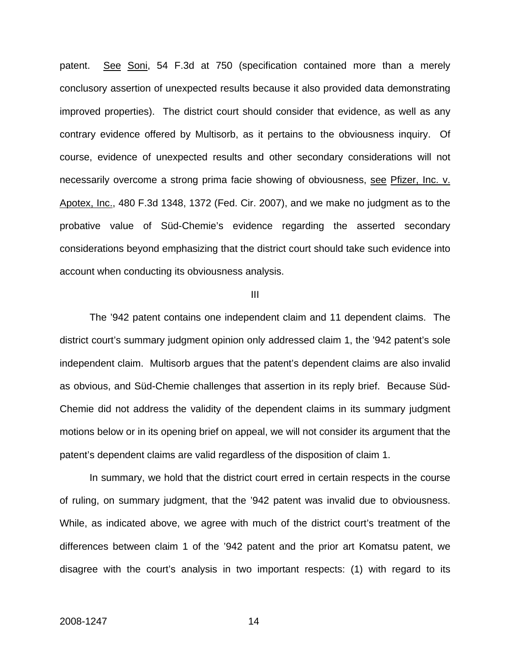patent. See Soni, 54 F.3d at 750 (specification contained more than a merely conclusory assertion of unexpected results because it also provided data demonstrating improved properties). The district court should consider that evidence, as well as any contrary evidence offered by Multisorb, as it pertains to the obviousness inquiry. Of course, evidence of unexpected results and other secondary considerations will not necessarily overcome a strong prima facie showing of obviousness, see Pfizer, Inc. v. Apotex, Inc., 480 F.3d 1348, 1372 (Fed. Cir. 2007), and we make no judgment as to the probative value of Süd-Chemie's evidence regarding the asserted secondary considerations beyond emphasizing that the district court should take such evidence into account when conducting its obviousness analysis.

### III

The '942 patent contains one independent claim and 11 dependent claims. The district court's summary judgment opinion only addressed claim 1, the '942 patent's sole independent claim. Multisorb argues that the patent's dependent claims are also invalid as obvious, and Süd-Chemie challenges that assertion in its reply brief. Because Süd-Chemie did not address the validity of the dependent claims in its summary judgment motions below or in its opening brief on appeal, we will not consider its argument that the patent's dependent claims are valid regardless of the disposition of claim 1.

In summary, we hold that the district court erred in certain respects in the course of ruling, on summary judgment, that the '942 patent was invalid due to obviousness. While, as indicated above, we agree with much of the district court's treatment of the differences between claim 1 of the '942 patent and the prior art Komatsu patent, we disagree with the court's analysis in two important respects: (1) with regard to its